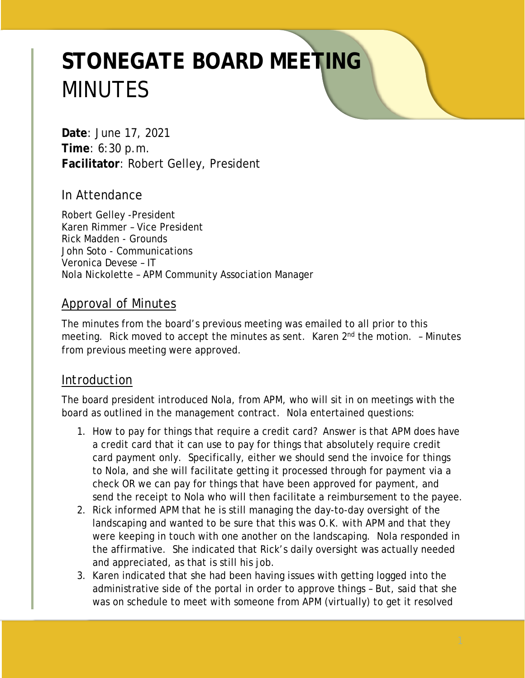# **STONEGATE BOARD MEETING** MINUTES

**Date**: June 17, 2021 **Time**: 6:30 p.m. **Facilitator**: Robert Gelley, President

# In Attendance

Robert Gelley -President Karen Rimmer – Vice President Rick Madden - Grounds John Soto - Communications Veronica Devese – IT Nola Nickolette – APM Community Association Manager

### Approval of Minutes

The minutes from the board's previous meeting was emailed to all prior to this meeting. Rick moved to accept the minutes as sent. Karen 2<sup>nd</sup> the motion. - Minutes from previous meeting were approved.

# Introduction

The board president introduced Nola, from APM, who will sit in on meetings with the board as outlined in the management contract. Nola entertained questions:

- 1. How to pay for things that require a credit card? Answer is that APM does have a credit card that it can use to pay for things that absolutely require credit card payment only. Specifically, either we should send the invoice for things to Nola, and she will facilitate getting it processed through for payment via a check OR we can pay for things that have been approved for payment, and send the receipt to Nola who will then facilitate a reimbursement to the payee.
- 2. Rick informed APM that he is still managing the day-to-day oversight of the landscaping and wanted to be sure that this was O.K. with APM and that they were keeping in touch with one another on the landscaping. Nola responded in the affirmative. She indicated that Rick's daily oversight was actually needed and appreciated, as that is still his job.
- 3. Karen indicated that she had been having issues with getting logged into the administrative side of the portal in order to approve things – But, said that she was on schedule to meet with someone from APM (virtually) to get it resolved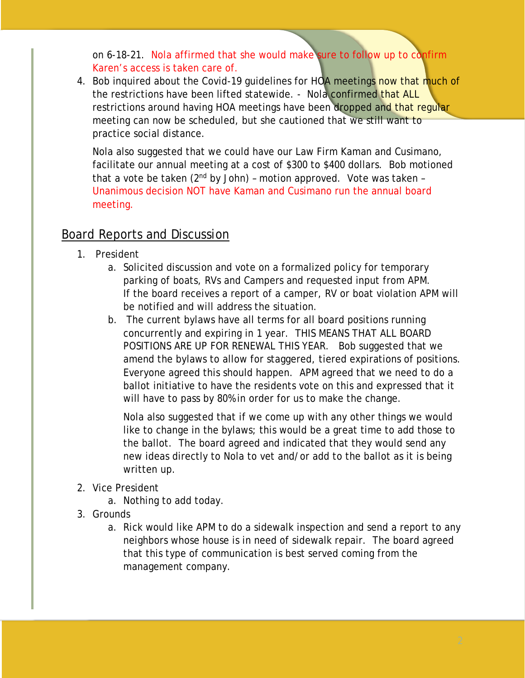on 6-18-21. Nola affirmed that she would make sure to follow up to confirm Karen's access is taken care of.

4. Bob inquired about the Covid-19 quidelines for HOA meetings now that much of the restrictions have been lifted statewide. - Nola confirmed that ALL restrictions around having HOA meetings have been dropped and that reqular meeting can now be scheduled, but she cautioned that we still want to practice social distance.

Nola also suggested that we could have our Law Firm Kaman and Cusimano, facilitate our annual meeting at a cost of \$300 to \$400 dollars. Bob motioned that a vote be taken  $(2^{nd}$  by John) - motion approved. Vote was taken -Unanimous decision NOT have Kaman and Cusimano run the annual board meeting.

# Board Reports and Discussion

- 1. President
	- a. Solicited discussion and vote on a formalized policy for temporary parking of boats, RVs and Campers and requested input from APM. If the board receives a report of a camper, RV or boat violation APM will be notified and will address the situation.
	- b. The current bylaws have all terms for all board positions running concurrently and expiring in 1 year. THIS MEANS THAT ALL BOARD POSITIONS ARE UP FOR RENEWAL THIS YEAR. Bob suggested that we amend the bylaws to allow for staggered, tiered expirations of positions. Everyone agreed this should happen. APM agreed that we need to do a ballot initiative to have the residents vote on this and expressed that it will have to pass by 80% in order for us to make the change.

Nola also suggested that if we come up with any other things we would like to change in the bylaws; this would be a great time to add those to the ballot. The board agreed and indicated that they would send any new ideas directly to Nola to vet and/or add to the ballot as it is being written up.

- 2. Vice President
	- a. Nothing to add today.
- 3. Grounds
	- a. Rick would like APM to do a sidewalk inspection and send a report to any neighbors whose house is in need of sidewalk repair. The board agreed that this type of communication is best served coming from the management company.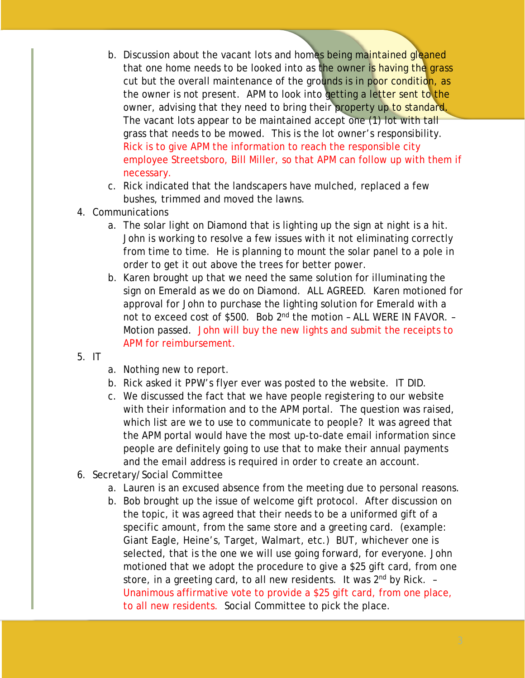- b. Discussion about the vacant lots and homes being maintained gleaned that one home needs to be looked into as the owner is having the grass cut but the overall maintenance of the grounds is in poor condition, as the owner is not present. APM to look into getting a letter sent to the owner, advising that they need to bring their property up to standard. The vacant lots appear to be maintained accept one (1) lot with tall grass that needs to be mowed. This is the lot owner's responsibility. Rick is to give APM the information to reach the responsible city employee Streetsboro, Bill Miller, so that APM can follow up with them if necessary.
- c. Rick indicated that the landscapers have mulched, replaced a few bushes, trimmed and moved the lawns.
- 4. Communications
	- a. The solar light on Diamond that is lighting up the sign at night is a hit. John is working to resolve a few issues with it not eliminating correctly from time to time. He is planning to mount the solar panel to a pole in order to get it out above the trees for better power.
	- b. Karen brought up that we need the same solution for illuminating the sign on Emerald as we do on Diamond. ALL AGREED. Karen motioned for approval for John to purchase the lighting solution for Emerald with a not to exceed cost of \$500. Bob 2<sup>nd</sup> the motion - ALL WERE IN FAVOR. -Motion passed. John will buy the new lights and submit the receipts to APM for reimbursement.
- 5. IT
- a. Nothing new to report.
- b. Rick asked it PPW's flyer ever was posted to the website. IT DID.
- c. We discussed the fact that we have people registering to our website with their information and to the APM portal. The question was raised, which list are we to use to communicate to people? It was agreed that the APM portal would have the most up-to-date email information since people are definitely going to use that to make their annual payments and the email address is required in order to create an account.
- 6. Secretary/Social Committee
	- a. Lauren is an excused absence from the meeting due to personal reasons.
	- b. Bob brought up the issue of welcome gift protocol. After discussion on the topic, it was agreed that their needs to be a uniformed gift of a specific amount, from the same store and a greeting card. (example: Giant Eagle, Heine's, Target, Walmart, etc.) BUT, whichever one is selected, that is the one we will use going forward, for everyone. John motioned that we adopt the procedure to give a \$25 gift card, from one store, in a greeting card, to all new residents. It was  $2<sup>nd</sup>$  by Rick.  $-$ Unanimous affirmative vote to provide a \$25 gift card, from one place, to all new residents. Social Committee to pick the place.